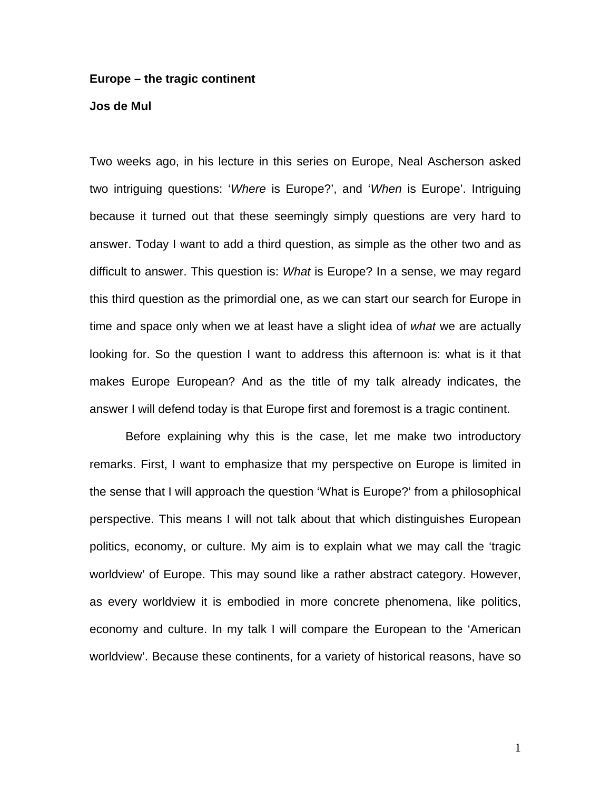#### **Europe – the tragic continent**

## **Jos de Mul**

Two weeks ago, in his lecture in this series on Europe, Neal Ascherson asked two intriguing questions: '*Where* is Europe?', and '*When* is Europe'. Intriguing because it turned out that these seemingly simply questions are very hard to answer. Today I want to add a third question, as simple as the other two and as difficult to answer. This question is: *What* is Europe? In a sense, we may regard this third question as the primordial one, as we can start our search for Europe in time and space only when we at least have a slight idea of *what* we are actually looking for. So the question I want to address this afternoon is: what is it that makes Europe European? And as the title of my talk already indicates, the answer I will defend today is that Europe first and foremost is a tragic continent.

 Before explaining why this is the case, let me make two introductory remarks. First, I want to emphasize that my perspective on Europe is limited in the sense that I will approach the question 'What is Europe?' from a philosophical perspective. This means I will not talk about that which distinguishes European politics, economy, or culture. My aim is to explain what we may call the 'tragic worldview' of Europe. This may sound like a rather abstract category. However, as every worldview it is embodied in more concrete phenomena, like politics, economy and culture. In my talk I will compare the European to the 'American worldview'. Because these continents, for a variety of historical reasons, have so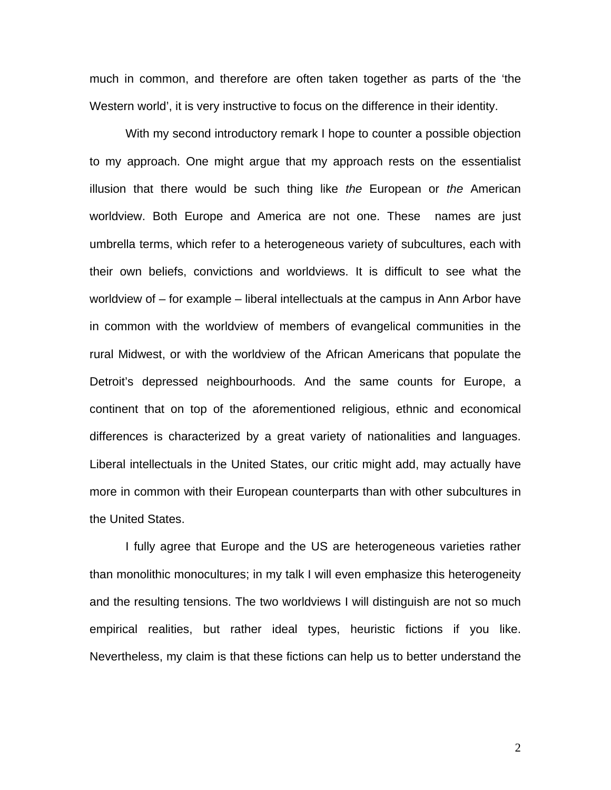much in common, and therefore are often taken together as parts of the 'the Western world', it is very instructive to focus on the difference in their identity.

With my second introductory remark I hope to counter a possible objection to my approach. One might argue that my approach rests on the essentialist illusion that there would be such thing like *the* European or *the* American worldview. Both Europe and America are not one. These names are just umbrella terms, which refer to a heterogeneous variety of subcultures, each with their own beliefs, convictions and worldviews. It is difficult to see what the worldview of – for example – liberal intellectuals at the campus in Ann Arbor have in common with the worldview of members of evangelical communities in the rural Midwest, or with the worldview of the African Americans that populate the Detroit's depressed neighbourhoods. And the same counts for Europe, a continent that on top of the aforementioned religious, ethnic and economical differences is characterized by a great variety of nationalities and languages. Liberal intellectuals in the United States, our critic might add, may actually have more in common with their European counterparts than with other subcultures in the United States.

I fully agree that Europe and the US are heterogeneous varieties rather than monolithic monocultures; in my talk I will even emphasize this heterogeneity and the resulting tensions. The two worldviews I will distinguish are not so much empirical realities, but rather ideal types, heuristic fictions if you like. Nevertheless, my claim is that these fictions can help us to better understand the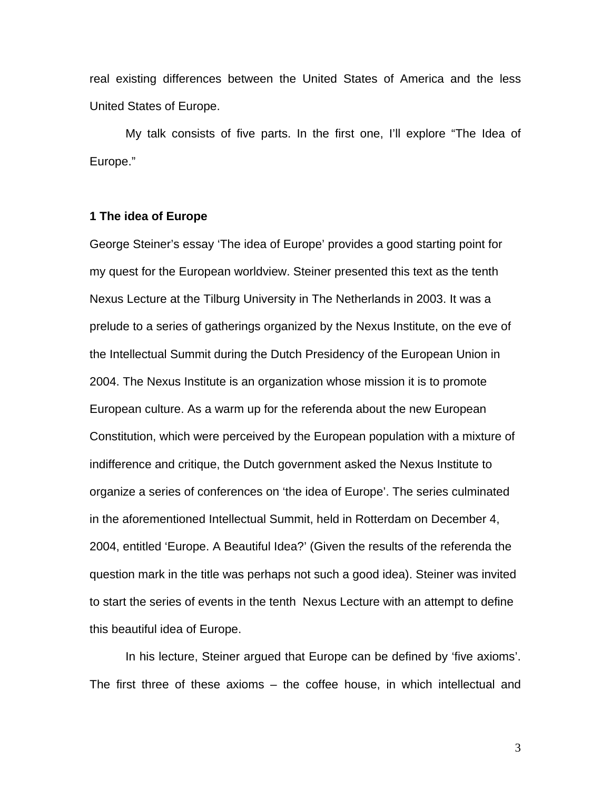real existing differences between the United States of America and the less United States of Europe.

My talk consists of five parts. In the first one, I'll explore "The Idea of Europe."

## **1 The idea of Europe**

George Steiner's essay 'The idea of Europe' provides a good starting point for my quest for the European worldview. Steiner presented this text as the tenth Nexus Lecture at the Tilburg University in The Netherlands in 2003. It was a prelude to a series of gatherings organized by the Nexus Institute, on the eve of the Intellectual Summit during the Dutch Presidency of the European Union in 2004. The Nexus Institute is an organization whose mission it is to promote European culture. As a warm up for the referenda about the new European Constitution, which were perceived by the European population with a mixture of indifference and critique, the Dutch government asked the Nexus Institute to organize a series of conferences on 'the idea of Europe'. The series culminated in the aforementioned Intellectual Summit, held in Rotterdam on December 4, 2004, entitled 'Europe. A Beautiful Idea?' (Given the results of the referenda the question mark in the title was perhaps not such a good idea). Steiner was invited to start the series of events in the tenth Nexus Lecture with an attempt to define this beautiful idea of Europe.

In his lecture, Steiner argued that Europe can be defined by 'five axioms'. The first three of these axioms – the coffee house, in which intellectual and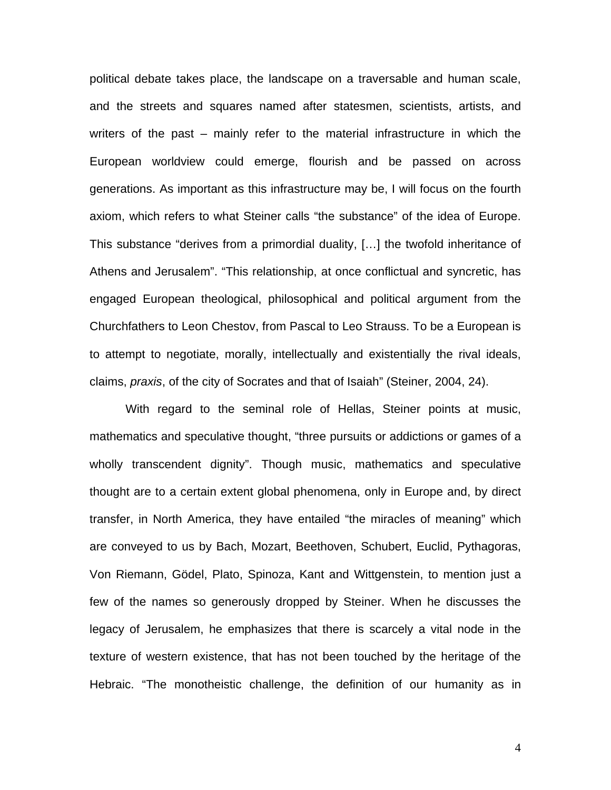political debate takes place, the landscape on a traversable and human scale, and the streets and squares named after statesmen, scientists, artists, and writers of the past – mainly refer to the material infrastructure in which the European worldview could emerge, flourish and be passed on across generations. As important as this infrastructure may be, I will focus on the fourth axiom, which refers to what Steiner calls "the substance" of the idea of Europe. This substance "derives from a primordial duality, […] the twofold inheritance of Athens and Jerusalem". "This relationship, at once conflictual and syncretic, has engaged European theological, philosophical and political argument from the Churchfathers to Leon Chestov, from Pascal to Leo Strauss. To be a European is to attempt to negotiate, morally, intellectually and existentially the rival ideals, claims, *praxis*, of the city of Socrates and that of Isaiah" (Steiner, 2004, 24).

With regard to the seminal role of Hellas, Steiner points at music, mathematics and speculative thought, "three pursuits or addictions or games of a wholly transcendent dignity". Though music, mathematics and speculative thought are to a certain extent global phenomena, only in Europe and, by direct transfer, in North America, they have entailed "the miracles of meaning" which are conveyed to us by Bach, Mozart, Beethoven, Schubert, Euclid, Pythagoras, Von Riemann, Gödel, Plato, Spinoza, Kant and Wittgenstein, to mention just a few of the names so generously dropped by Steiner. When he discusses the legacy of Jerusalem, he emphasizes that there is scarcely a vital node in the texture of western existence, that has not been touched by the heritage of the Hebraic. "The monotheistic challenge, the definition of our humanity as in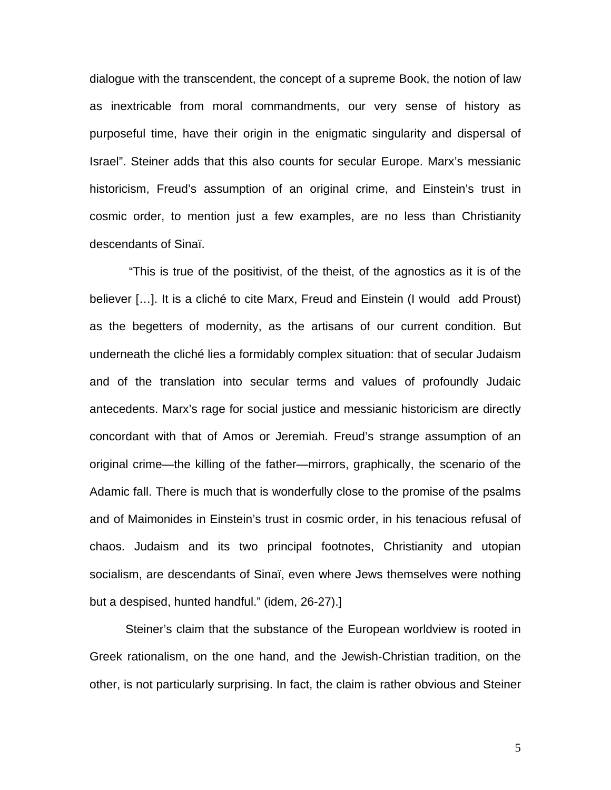dialogue with the transcendent, the concept of a supreme Book, the notion of law as inextricable from moral commandments, our very sense of history as purposeful time, have their origin in the enigmatic singularity and dispersal of Israel". Steiner adds that this also counts for secular Europe. Marx's messianic historicism, Freud's assumption of an original crime, and Einstein's trust in cosmic order, to mention just a few examples, are no less than Christianity descendants of Sinaï.

 "This is true of the positivist, of the theist, of the agnostics as it is of the believer […]. It is a cliché to cite Marx, Freud and Einstein (I would add Proust) as the begetters of modernity, as the artisans of our current condition. But underneath the cliché lies a formidably complex situation: that of secular Judaism and of the translation into secular terms and values of profoundly Judaic antecedents. Marx's rage for social justice and messianic historicism are directly concordant with that of Amos or Jeremiah. Freud's strange assumption of an original crime—the killing of the father—mirrors, graphically, the scenario of the Adamic fall. There is much that is wonderfully close to the promise of the psalms and of Maimonides in Einstein's trust in cosmic order, in his tenacious refusal of chaos. Judaism and its two principal footnotes, Christianity and utopian socialism, are descendants of Sinaï, even where Jews themselves were nothing but a despised, hunted handful." (idem, 26-27).]

Steiner's claim that the substance of the European worldview is rooted in Greek rationalism, on the one hand, and the Jewish-Christian tradition, on the other, is not particularly surprising. In fact, the claim is rather obvious and Steiner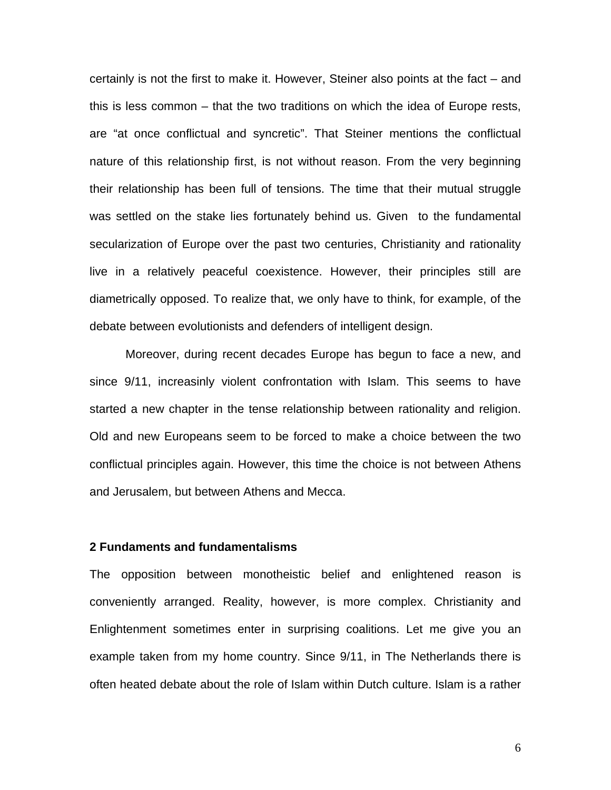certainly is not the first to make it. However, Steiner also points at the fact – and this is less common – that the two traditions on which the idea of Europe rests, are "at once conflictual and syncretic". That Steiner mentions the conflictual nature of this relationship first, is not without reason. From the very beginning their relationship has been full of tensions. The time that their mutual struggle was settled on the stake lies fortunately behind us. Given to the fundamental secularization of Europe over the past two centuries, Christianity and rationality live in a relatively peaceful coexistence. However, their principles still are diametrically opposed. To realize that, we only have to think, for example, of the debate between evolutionists and defenders of intelligent design.

Moreover, during recent decades Europe has begun to face a new, and since 9/11, increasinly violent confrontation with Islam. This seems to have started a new chapter in the tense relationship between rationality and religion. Old and new Europeans seem to be forced to make a choice between the two conflictual principles again. However, this time the choice is not between Athens and Jerusalem, but between Athens and Mecca.

### **2 Fundaments and fundamentalisms**

The opposition between monotheistic belief and enlightened reason is conveniently arranged. Reality, however, is more complex. Christianity and Enlightenment sometimes enter in surprising coalitions. Let me give you an example taken from my home country. Since 9/11, in The Netherlands there is often heated debate about the role of Islam within Dutch culture. Islam is a rather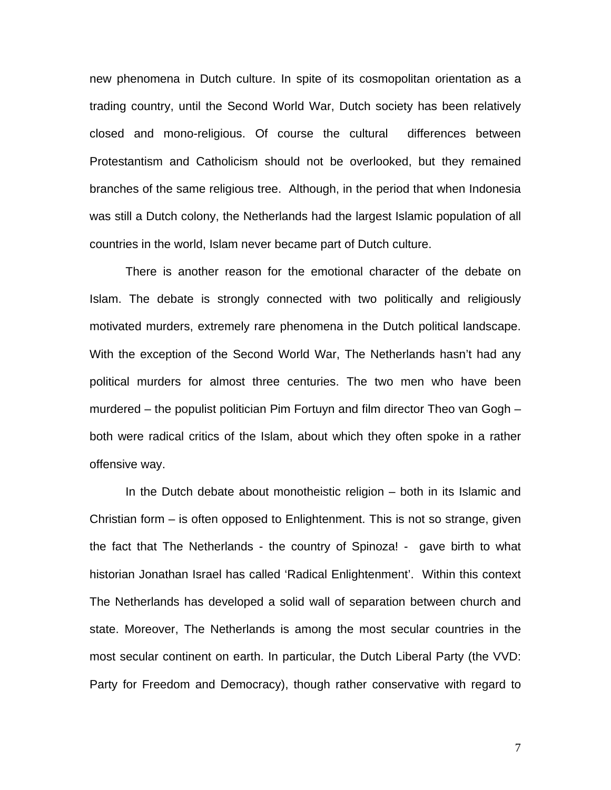new phenomena in Dutch culture. In spite of its cosmopolitan orientation as a trading country, until the Second World War, Dutch society has been relatively closed and mono-religious. Of course the cultural differences between Protestantism and Catholicism should not be overlooked, but they remained branches of the same religious tree. Although, in the period that when Indonesia was still a Dutch colony, the Netherlands had the largest Islamic population of all countries in the world, Islam never became part of Dutch culture.

There is another reason for the emotional character of the debate on Islam. The debate is strongly connected with two politically and religiously motivated murders, extremely rare phenomena in the Dutch political landscape. With the exception of the Second World War, The Netherlands hasn't had any political murders for almost three centuries. The two men who have been murdered – the populist politician Pim Fortuyn and film director Theo van Gogh – both were radical critics of the Islam, about which they often spoke in a rather offensive way.

In the Dutch debate about monotheistic religion – both in its Islamic and Christian form – is often opposed to Enlightenment. This is not so strange, given the fact that The Netherlands - the country of Spinoza! - gave birth to what historian Jonathan Israel has called 'Radical Enlightenment'. Within this context The Netherlands has developed a solid wall of separation between church and state. Moreover, The Netherlands is among the most secular countries in the most secular continent on earth. In particular, the Dutch Liberal Party (the VVD: Party for Freedom and Democracy), though rather conservative with regard to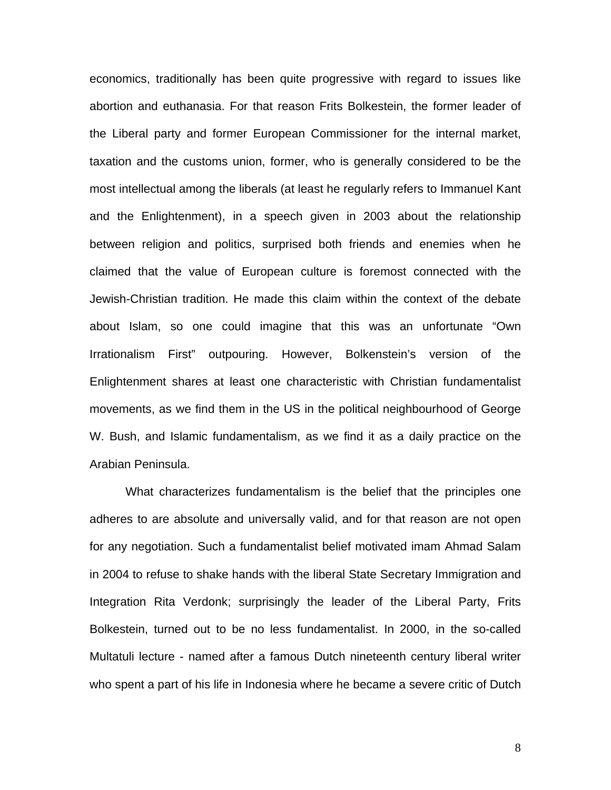economics, traditionally has been quite progressive with regard to issues like abortion and euthanasia. For that reason Frits Bolkestein, the former leader of the Liberal party and former European Commissioner for the internal market, taxation and the customs union, former, who is generally considered to be the most intellectual among the liberals (at least he regularly refers to Immanuel Kant and the Enlightenment), in a speech given in 2003 about the relationship between religion and politics, surprised both friends and enemies when he claimed that the value of European culture is foremost connected with the Jewish-Christian tradition. He made this claim within the context of the debate about Islam, so one could imagine that this was an unfortunate "Own Irrationalism First" outpouring. However, Bolkenstein's version of the Enlightenment shares at least one characteristic with Christian fundamentalist movements, as we find them in the US in the political neighbourhood of George W. Bush, and Islamic fundamentalism, as we find it as a daily practice on the Arabian Peninsula.

What characterizes fundamentalism is the belief that the principles one adheres to are absolute and universally valid, and for that reason are not open for any negotiation. Such a fundamentalist belief motivated imam Ahmad Salam in 2004 to refuse to shake hands with the liberal State Secretary Immigration and Integration Rita Verdonk; surprisingly the leader of the Liberal Party, Frits Bolkestein, turned out to be no less fundamentalist. In 2000, in the so-called Multatuli lecture - named after a famous Dutch nineteenth century liberal writer who spent a part of his life in Indonesia where he became a severe critic of Dutch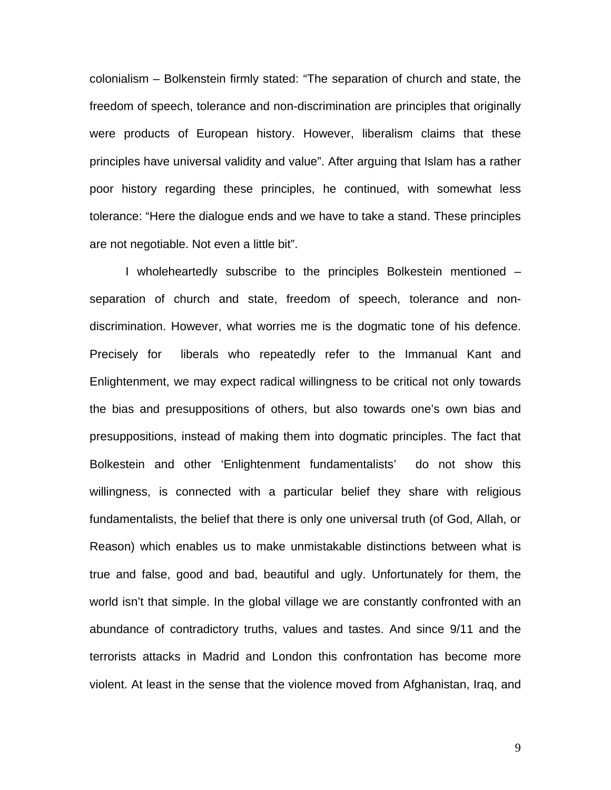colonialism – Bolkenstein firmly stated: "The separation of church and state, the freedom of speech, tolerance and non-discrimination are principles that originally were products of European history. However, liberalism claims that these principles have universal validity and value". After arguing that Islam has a rather poor history regarding these principles, he continued, with somewhat less tolerance: "Here the dialogue ends and we have to take a stand. These principles are not negotiable. Not even a little bit".

I wholeheartedly subscribe to the principles Bolkestein mentioned – separation of church and state, freedom of speech, tolerance and nondiscrimination. However, what worries me is the dogmatic tone of his defence. Precisely for liberals who repeatedly refer to the Immanual Kant and Enlightenment, we may expect radical willingness to be critical not only towards the bias and presuppositions of others, but also towards one's own bias and presuppositions, instead of making them into dogmatic principles. The fact that Bolkestein and other 'Enlightenment fundamentalists' do not show this willingness, is connected with a particular belief they share with religious fundamentalists, the belief that there is only one universal truth (of God, Allah, or Reason) which enables us to make unmistakable distinctions between what is true and false, good and bad, beautiful and ugly. Unfortunately for them, the world isn't that simple. In the global village we are constantly confronted with an abundance of contradictory truths, values and tastes. And since 9/11 and the terrorists attacks in Madrid and London this confrontation has become more violent. At least in the sense that the violence moved from Afghanistan, Iraq, and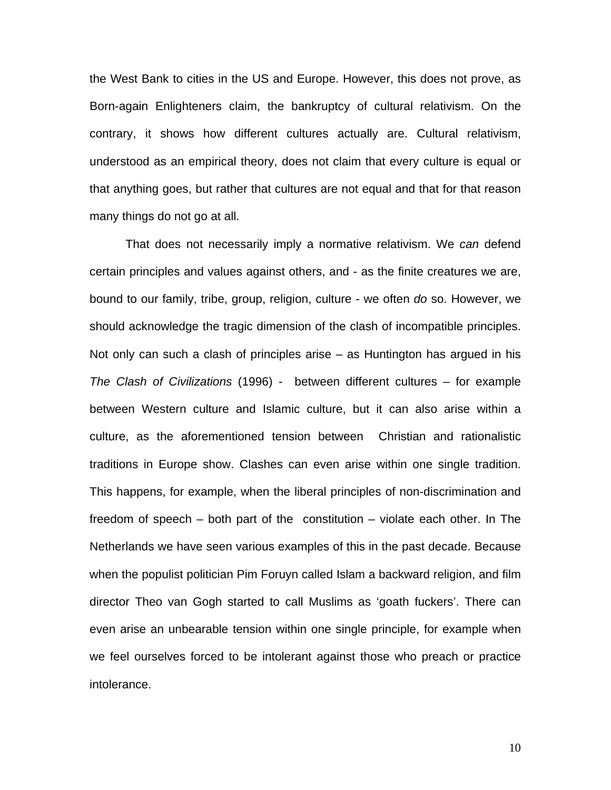the West Bank to cities in the US and Europe. However, this does not prove, as Born-again Enlighteners claim, the bankruptcy of cultural relativism. On the contrary, it shows how different cultures actually are. Cultural relativism, understood as an empirical theory, does not claim that every culture is equal or that anything goes, but rather that cultures are not equal and that for that reason many things do not go at all.

That does not necessarily imply a normative relativism. We *can* defend certain principles and values against others, and - as the finite creatures we are, bound to our family, tribe, group, religion, culture - we often *do* so. However, we should acknowledge the tragic dimension of the clash of incompatible principles. Not only can such a clash of principles arise – as Huntington has argued in his *The Clash of Civilizations* (1996) - between different cultures – for example between Western culture and Islamic culture, but it can also arise within a culture, as the aforementioned tension between Christian and rationalistic traditions in Europe show. Clashes can even arise within one single tradition. This happens, for example, when the liberal principles of non-discrimination and freedom of speech – both part of the constitution – violate each other. In The Netherlands we have seen various examples of this in the past decade. Because when the populist politician Pim Foruyn called Islam a backward religion, and film director Theo van Gogh started to call Muslims as 'goath fuckers'. There can even arise an unbearable tension within one single principle, for example when we feel ourselves forced to be intolerant against those who preach or practice intolerance.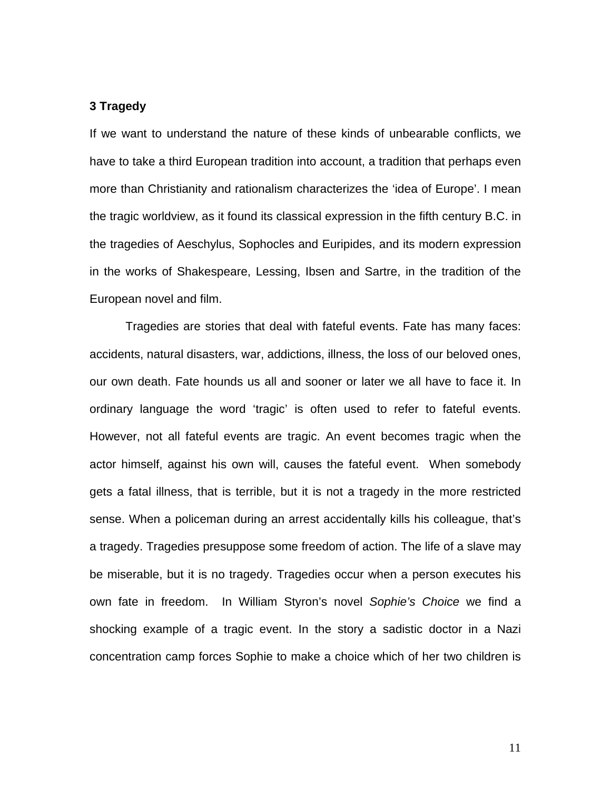## **3 Tragedy**

If we want to understand the nature of these kinds of unbearable conflicts, we have to take a third European tradition into account, a tradition that perhaps even more than Christianity and rationalism characterizes the 'idea of Europe'. I mean the tragic worldview, as it found its classical expression in the fifth century B.C. in the tragedies of Aeschylus, Sophocles and Euripides, and its modern expression in the works of Shakespeare, Lessing, Ibsen and Sartre, in the tradition of the European novel and film.

Tragedies are stories that deal with fateful events. Fate has many faces: accidents, natural disasters, war, addictions, illness, the loss of our beloved ones, our own death. Fate hounds us all and sooner or later we all have to face it. In ordinary language the word 'tragic' is often used to refer to fateful events. However, not all fateful events are tragic. An event becomes tragic when the actor himself, against his own will, causes the fateful event. When somebody gets a fatal illness, that is terrible, but it is not a tragedy in the more restricted sense. When a policeman during an arrest accidentally kills his colleague, that's a tragedy. Tragedies presuppose some freedom of action. The life of a slave may be miserable, but it is no tragedy. Tragedies occur when a person executes his own fate in freedom. In William Styron's novel *Sophie's Choice* we find a shocking example of a tragic event. In the story a sadistic doctor in a Nazi concentration camp forces Sophie to make a choice which of her two children is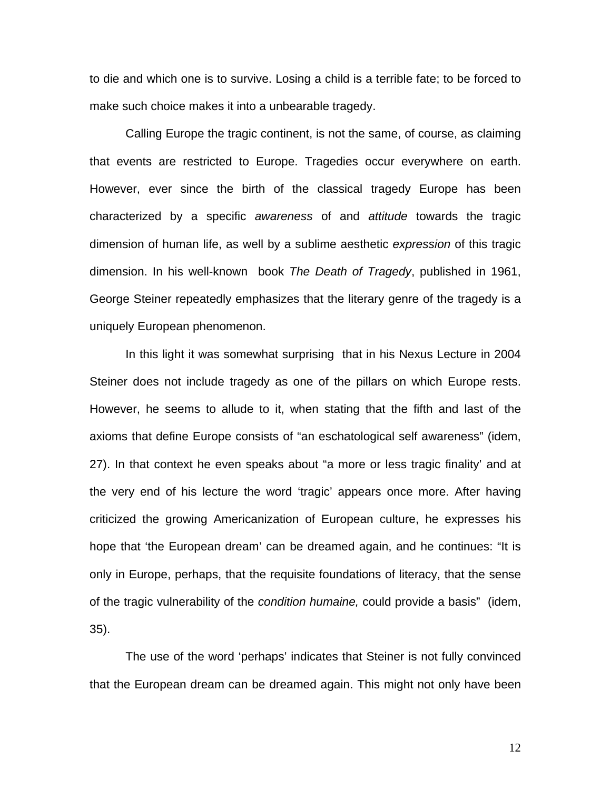to die and which one is to survive. Losing a child is a terrible fate; to be forced to make such choice makes it into a unbearable tragedy.

Calling Europe the tragic continent, is not the same, of course, as claiming that events are restricted to Europe. Tragedies occur everywhere on earth. However, ever since the birth of the classical tragedy Europe has been characterized by a specific *awareness* of and *attitude* towards the tragic dimension of human life, as well by a sublime aesthetic *expression* of this tragic dimension. In his well-known book *The Death of Tragedy*, published in 1961, George Steiner repeatedly emphasizes that the literary genre of the tragedy is a uniquely European phenomenon.

In this light it was somewhat surprising that in his Nexus Lecture in 2004 Steiner does not include tragedy as one of the pillars on which Europe rests. However, he seems to allude to it, when stating that the fifth and last of the axioms that define Europe consists of "an eschatological self awareness" (idem, 27). In that context he even speaks about "a more or less tragic finality' and at the very end of his lecture the word 'tragic' appears once more. After having criticized the growing Americanization of European culture, he expresses his hope that 'the European dream' can be dreamed again, and he continues: "It is only in Europe, perhaps, that the requisite foundations of literacy, that the sense of the tragic vulnerability of the *condition humaine,* could provide a basis" (idem, 35).

The use of the word 'perhaps' indicates that Steiner is not fully convinced that the European dream can be dreamed again. This might not only have been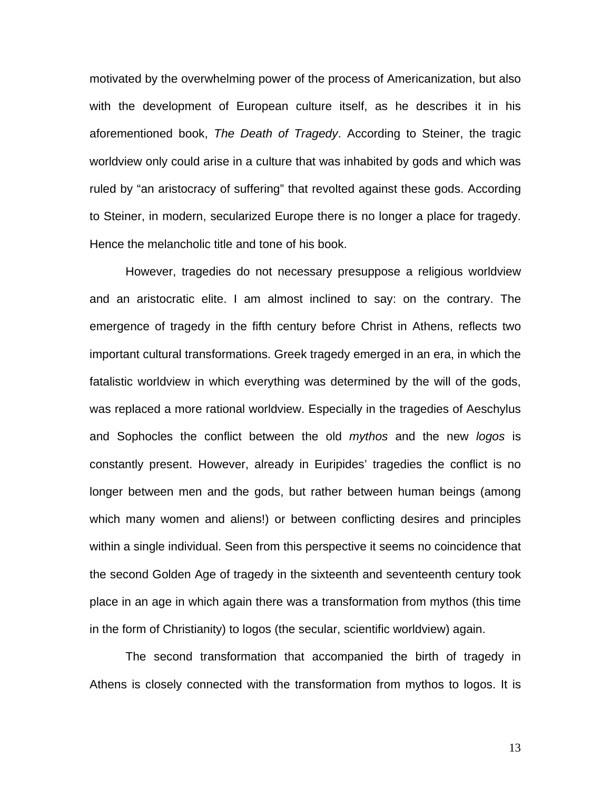motivated by the overwhelming power of the process of Americanization, but also with the development of European culture itself, as he describes it in his aforementioned book, *The Death of Tragedy*. According to Steiner, the tragic worldview only could arise in a culture that was inhabited by gods and which was ruled by "an aristocracy of suffering" that revolted against these gods. According to Steiner, in modern, secularized Europe there is no longer a place for tragedy. Hence the melancholic title and tone of his book.

However, tragedies do not necessary presuppose a religious worldview and an aristocratic elite. I am almost inclined to say: on the contrary. The emergence of tragedy in the fifth century before Christ in Athens, reflects two important cultural transformations. Greek tragedy emerged in an era, in which the fatalistic worldview in which everything was determined by the will of the gods, was replaced a more rational worldview. Especially in the tragedies of Aeschylus and Sophocles the conflict between the old *mythos* and the new *logos* is constantly present. However, already in Euripides' tragedies the conflict is no longer between men and the gods, but rather between human beings (among which many women and aliens!) or between conflicting desires and principles within a single individual. Seen from this perspective it seems no coincidence that the second Golden Age of tragedy in the sixteenth and seventeenth century took place in an age in which again there was a transformation from mythos (this time in the form of Christianity) to logos (the secular, scientific worldview) again.

The second transformation that accompanied the birth of tragedy in Athens is closely connected with the transformation from mythos to logos. It is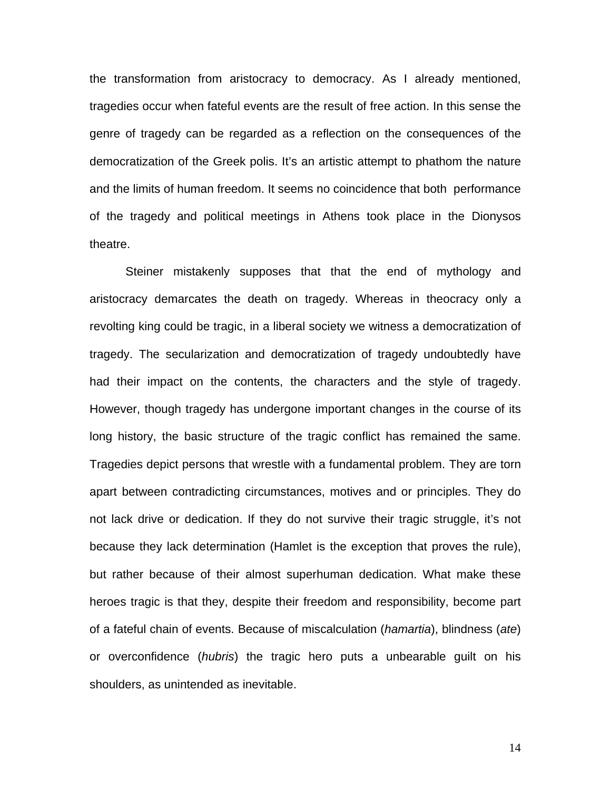the transformation from aristocracy to democracy. As I already mentioned, tragedies occur when fateful events are the result of free action. In this sense the genre of tragedy can be regarded as a reflection on the consequences of the democratization of the Greek polis. It's an artistic attempt to phathom the nature and the limits of human freedom. It seems no coincidence that both performance of the tragedy and political meetings in Athens took place in the Dionysos theatre.

Steiner mistakenly supposes that that the end of mythology and aristocracy demarcates the death on tragedy. Whereas in theocracy only a revolting king could be tragic, in a liberal society we witness a democratization of tragedy. The secularization and democratization of tragedy undoubtedly have had their impact on the contents, the characters and the style of tragedy. However, though tragedy has undergone important changes in the course of its long history, the basic structure of the tragic conflict has remained the same. Tragedies depict persons that wrestle with a fundamental problem. They are torn apart between contradicting circumstances, motives and or principles. They do not lack drive or dedication. If they do not survive their tragic struggle, it's not because they lack determination (Hamlet is the exception that proves the rule), but rather because of their almost superhuman dedication. What make these heroes tragic is that they, despite their freedom and responsibility, become part of a fateful chain of events. Because of miscalculation (*hamartia*), blindness (*ate*) or overconfidence (*hubris*) the tragic hero puts a unbearable guilt on his shoulders, as unintended as inevitable.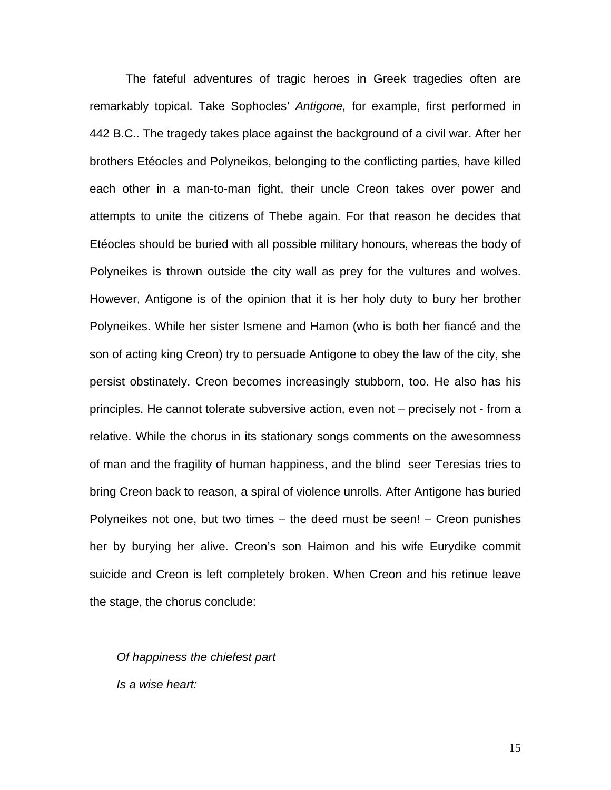The fateful adventures of tragic heroes in Greek tragedies often are remarkably topical. Take Sophocles' *Antigone,* for example, first performed in 442 B.C.. The tragedy takes place against the background of a civil war. After her brothers Etéocles and Polyneikos, belonging to the conflicting parties, have killed each other in a man-to-man fight, their uncle Creon takes over power and attempts to unite the citizens of Thebe again. For that reason he decides that Etéocles should be buried with all possible military honours, whereas the body of Polyneikes is thrown outside the city wall as prey for the vultures and wolves. However, Antigone is of the opinion that it is her holy duty to bury her brother Polyneikes. While her sister Ismene and Hamon (who is both her fiancé and the son of acting king Creon) try to persuade Antigone to obey the law of the city, she persist obstinately. Creon becomes increasingly stubborn, too. He also has his principles. He cannot tolerate subversive action, even not – precisely not - from a relative. While the chorus in its stationary songs comments on the awesomness of man and the fragility of human happiness, and the blind seer Teresias tries to bring Creon back to reason, a spiral of violence unrolls. After Antigone has buried Polyneikes not one, but two times – the deed must be seen! – Creon punishes her by burying her alive. Creon's son Haimon and his wife Eurydike commit suicide and Creon is left completely broken. When Creon and his retinue leave the stage, the chorus conclude:

*Of happiness the chiefest part Is a wise heart:*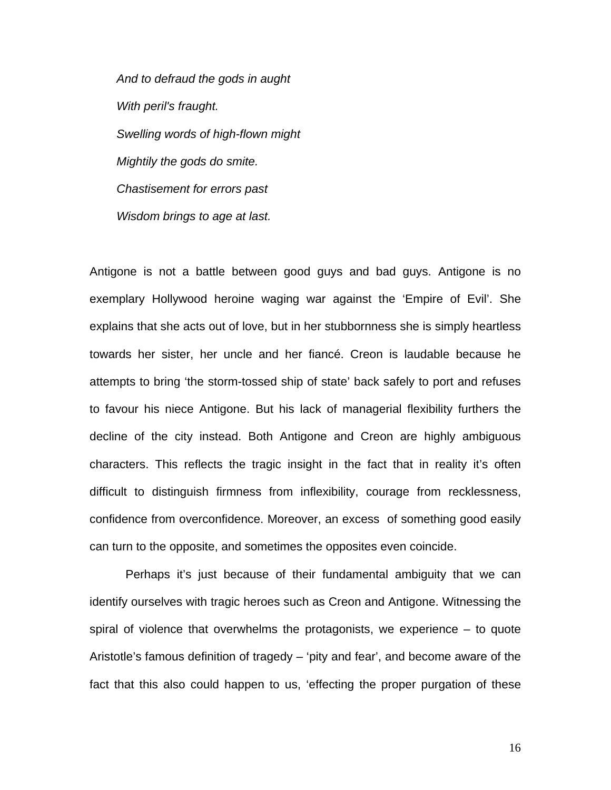*And to defraud the gods in aught With peril's fraught. Swelling words of high-flown might Mightily the gods do smite. Chastisement for errors past Wisdom brings to age at last.* 

Antigone is not a battle between good guys and bad guys. Antigone is no exemplary Hollywood heroine waging war against the 'Empire of Evil'. She explains that she acts out of love, but in her stubbornness she is simply heartless towards her sister, her uncle and her fiancé. Creon is laudable because he attempts to bring 'the storm-tossed ship of state' back safely to port and refuses to favour his niece Antigone. But his lack of managerial flexibility furthers the decline of the city instead. Both Antigone and Creon are highly ambiguous characters. This reflects the tragic insight in the fact that in reality it's often difficult to distinguish firmness from inflexibility, courage from recklessness, confidence from overconfidence. Moreover, an excess of something good easily can turn to the opposite, and sometimes the opposites even coincide.

Perhaps it's just because of their fundamental ambiguity that we can identify ourselves with tragic heroes such as Creon and Antigone. Witnessing the spiral of violence that overwhelms the protagonists, we experience – to quote Aristotle's famous definition of tragedy – 'pity and fear', and become aware of the fact that this also could happen to us, 'effecting the proper purgation of these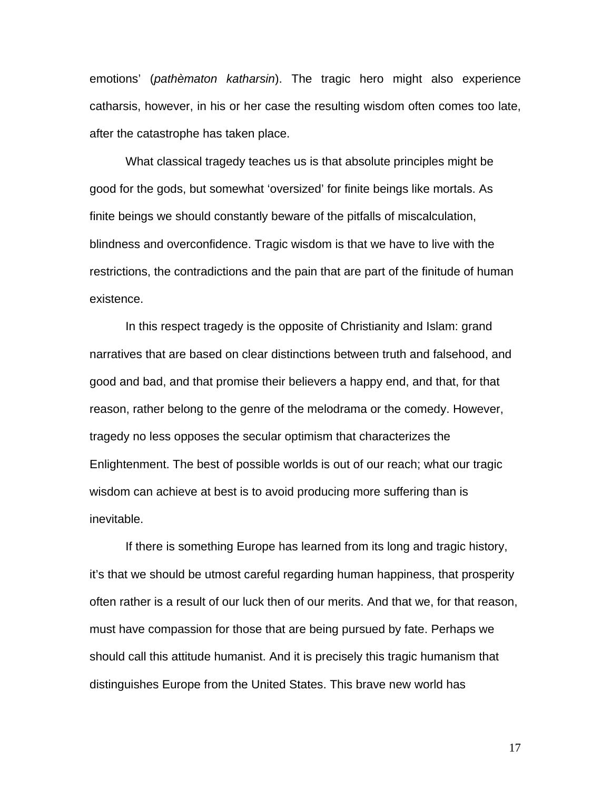emotions' (*pathèmaton katharsin*). The tragic hero might also experience catharsis, however, in his or her case the resulting wisdom often comes too late, after the catastrophe has taken place.

 What classical tragedy teaches us is that absolute principles might be good for the gods, but somewhat 'oversized' for finite beings like mortals. As finite beings we should constantly beware of the pitfalls of miscalculation, blindness and overconfidence. Tragic wisdom is that we have to live with the restrictions, the contradictions and the pain that are part of the finitude of human existence.

 In this respect tragedy is the opposite of Christianity and Islam: grand narratives that are based on clear distinctions between truth and falsehood, and good and bad, and that promise their believers a happy end, and that, for that reason, rather belong to the genre of the melodrama or the comedy. However, tragedy no less opposes the secular optimism that characterizes the Enlightenment. The best of possible worlds is out of our reach; what our tragic wisdom can achieve at best is to avoid producing more suffering than is inevitable.

 If there is something Europe has learned from its long and tragic history, it's that we should be utmost careful regarding human happiness, that prosperity often rather is a result of our luck then of our merits. And that we, for that reason, must have compassion for those that are being pursued by fate. Perhaps we should call this attitude humanist. And it is precisely this tragic humanism that distinguishes Europe from the United States. This brave new world has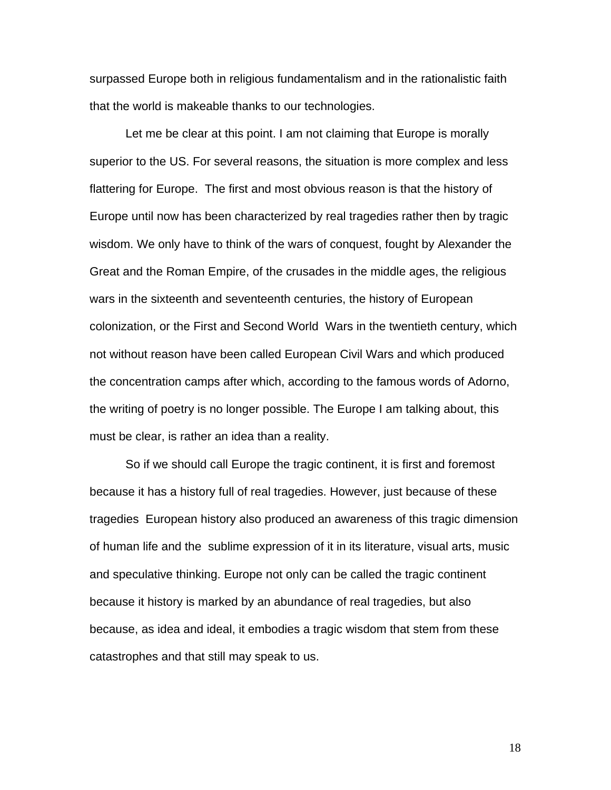surpassed Europe both in religious fundamentalism and in the rationalistic faith that the world is makeable thanks to our technologies.

 Let me be clear at this point. I am not claiming that Europe is morally superior to the US. For several reasons, the situation is more complex and less flattering for Europe. The first and most obvious reason is that the history of Europe until now has been characterized by real tragedies rather then by tragic wisdom. We only have to think of the wars of conquest, fought by Alexander the Great and the Roman Empire, of the crusades in the middle ages, the religious wars in the sixteenth and seventeenth centuries, the history of European colonization, or the First and Second World Wars in the twentieth century, which not without reason have been called European Civil Wars and which produced the concentration camps after which, according to the famous words of Adorno, the writing of poetry is no longer possible. The Europe I am talking about, this must be clear, is rather an idea than a reality.

So if we should call Europe the tragic continent, it is first and foremost because it has a history full of real tragedies. However, just because of these tragedies European history also produced an awareness of this tragic dimension of human life and the sublime expression of it in its literature, visual arts, music and speculative thinking. Europe not only can be called the tragic continent because it history is marked by an abundance of real tragedies, but also because, as idea and ideal, it embodies a tragic wisdom that stem from these catastrophes and that still may speak to us.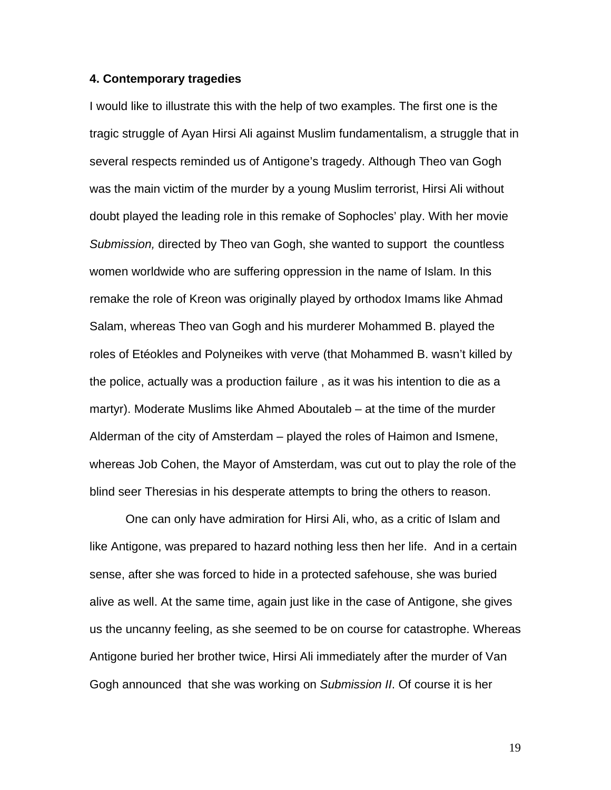## **4. Contemporary tragedies**

I would like to illustrate this with the help of two examples. The first one is the tragic struggle of Ayan Hirsi Ali against Muslim fundamentalism, a struggle that in several respects reminded us of Antigone's tragedy. Although Theo van Gogh was the main victim of the murder by a young Muslim terrorist, Hirsi Ali without doubt played the leading role in this remake of Sophocles' play. With her movie *Submission,* directed by Theo van Gogh, she wanted to support the countless women worldwide who are suffering oppression in the name of Islam. In this remake the role of Kreon was originally played by orthodox Imams like Ahmad Salam, whereas Theo van Gogh and his murderer Mohammed B. played the roles of Etéokles and Polyneikes with verve (that Mohammed B. wasn't killed by the police, actually was a production failure , as it was his intention to die as a martyr). Moderate Muslims like Ahmed Aboutaleb – at the time of the murder Alderman of the city of Amsterdam – played the roles of Haimon and Ismene, whereas Job Cohen, the Mayor of Amsterdam, was cut out to play the role of the blind seer Theresias in his desperate attempts to bring the others to reason.

 One can only have admiration for Hirsi Ali, who, as a critic of Islam and like Antigone, was prepared to hazard nothing less then her life. And in a certain sense, after she was forced to hide in a protected safehouse, she was buried alive as well. At the same time, again just like in the case of Antigone, she gives us the uncanny feeling, as she seemed to be on course for catastrophe. Whereas Antigone buried her brother twice, Hirsi Ali immediately after the murder of Van Gogh announced that she was working on *Submission II*. Of course it is her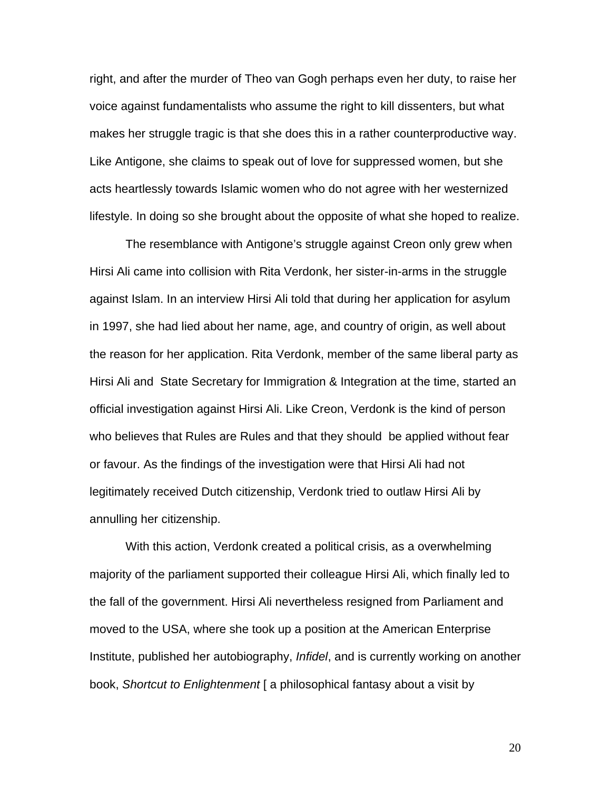right, and after the murder of Theo van Gogh perhaps even her duty, to raise her voice against fundamentalists who assume the right to kill dissenters, but what makes her struggle tragic is that she does this in a rather counterproductive way. Like Antigone, she claims to speak out of love for suppressed women, but she acts heartlessly towards Islamic women who do not agree with her westernized lifestyle. In doing so she brought about the opposite of what she hoped to realize.

 The resemblance with Antigone's struggle against Creon only grew when Hirsi Ali came into collision with Rita Verdonk, her sister-in-arms in the struggle against Islam. In an interview Hirsi Ali told that during her application for asylum in 1997, she had lied about her name, age, and country of origin, as well about the reason for her application. Rita Verdonk, member of the same liberal party as Hirsi Ali and State Secretary for Immigration & Integration at the time, started an official investigation against Hirsi Ali. Like Creon, Verdonk is the kind of person who believes that Rules are Rules and that they should be applied without fear or favour. As the findings of the investigation were that Hirsi Ali had not legitimately received Dutch citizenship, Verdonk tried to outlaw Hirsi Ali by annulling her citizenship.

With this action, Verdonk created a political crisis, as a overwhelming majority of the parliament supported their colleague Hirsi Ali, which finally led to the fall of the government. Hirsi Ali nevertheless resigned from Parliament and moved to the USA, where she took up a position at the American Enterprise Institute, published her autobiography, *Infidel*, and is currently working on another book, *Shortcut to Enlightenment* [ a philosophical fantasy about a visit by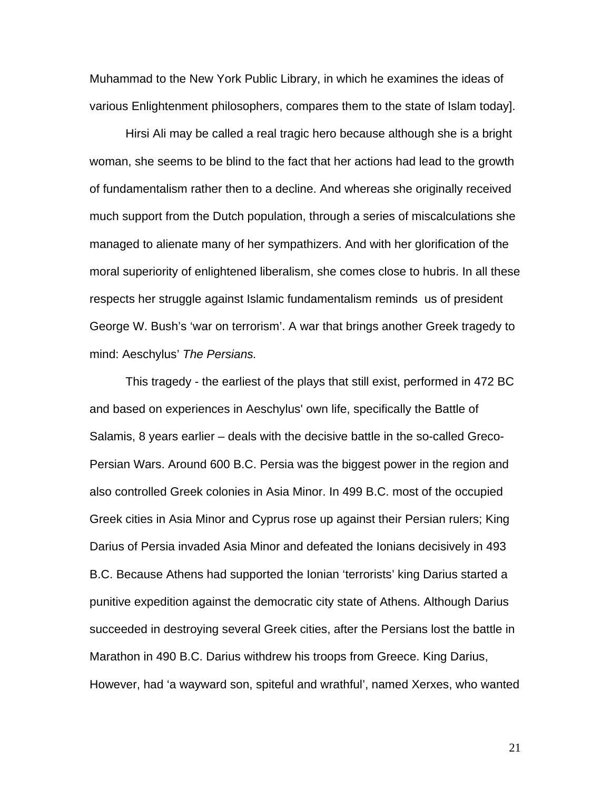Muhammad to the New York Public Library, in which he examines the ideas of various Enlightenment philosophers, compares them to the state of Islam today].

Hirsi Ali may be called a real tragic hero because although she is a bright woman, she seems to be blind to the fact that her actions had lead to the growth of fundamentalism rather then to a decline. And whereas she originally received much support from the Dutch population, through a series of miscalculations she managed to alienate many of her sympathizers. And with her glorification of the moral superiority of enlightened liberalism, she comes close to hubris. In all these respects her struggle against Islamic fundamentalism reminds us of president George W. Bush's 'war on terrorism'. A war that brings another Greek tragedy to mind: Aeschylus' *The Persians.* 

This tragedy - the earliest of the plays that still exist, performed in 472 BC and based on experiences in Aeschylus' own life, specifically the Battle of Salamis, 8 years earlier – deals with the decisive battle in the so-called Greco-Persian Wars. Around 600 B.C. Persia was the biggest power in the region and also controlled Greek colonies in Asia Minor. In 499 B.C. most of the occupied Greek cities in [Asia Minor](http://en.wikipedia.org/wiki/Asia_Minor) and [Cyprus](http://en.wikipedia.org/wiki/Cyprus) rose up against their Persian rulers; King Darius of Persia invaded Asia Minor and defeated the Ionians decisively in 493 B.C. Because Athens had supported the Ionian 'terrorists' king Darius started a punitive expedition against the democratic city state of Athens. Although Darius succeeded in destroying several Greek cities, after the Persians lost the battle in Marathon in 490 B.C. Darius withdrew his troops from Greece. King Darius, However, had 'a wayward son, spiteful and wrathful', named Xerxes, who wanted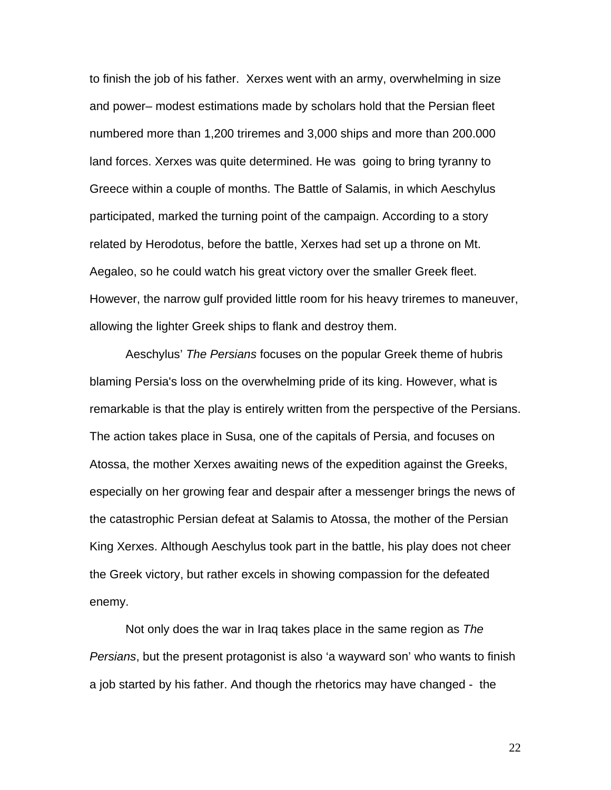to finish the job of his father. Xerxes went with an army, overwhelming in size and power– modest estimations made by scholars hold that the Persian fleet numbered more than 1,200 triremes and 3,000 ships and more than 200.000 land forces. Xerxes was quite determined. He was going to bring tyranny to Greece within a couple of months. The Battle of Salamis, in which Aeschylus participated, marked the turning point of the campaign. According to a story related by Herodotus, before the battle, Xerxes had set up a throne on Mt. Aegaleo, so he could watch his great victory over the smaller Greek fleet. However, the narrow gulf provided little room for his heavy triremes to maneuver, allowing the lighter Greek ships to flank and destroy them.

Aeschylus' *The Persians* focuses on the popular Greek theme of hubris blaming Persia's loss on the overwhelming pride of its king. However, what is remarkable is that the play is entirely written from the perspective of the Persians. The action takes place in [Susa](http://en.wikipedia.org/wiki/Susa), one of the capitals of [Persia](http://en.wikipedia.org/wiki/Persian_Empire), and focuses on [Atossa,](http://en.wikipedia.org/wiki/Atossa) the mother Xerxes awaiting news of the expedition against the Greeks, especially on her growing fear and despair after a messenger brings the news of the catastrophic Persian defeat at Salamis to Atossa, the mother of the Persian King Xerxes. Although Aeschylus took part in the battle, his play does not cheer the Greek victory, but rather excels in showing compassion for the defeated enemy.

 Not only does the war in Iraq takes place in the same region as *The Persians*, but the present protagonist is also 'a wayward son' who wants to finish a job started by his father. And though the rhetorics may have changed - the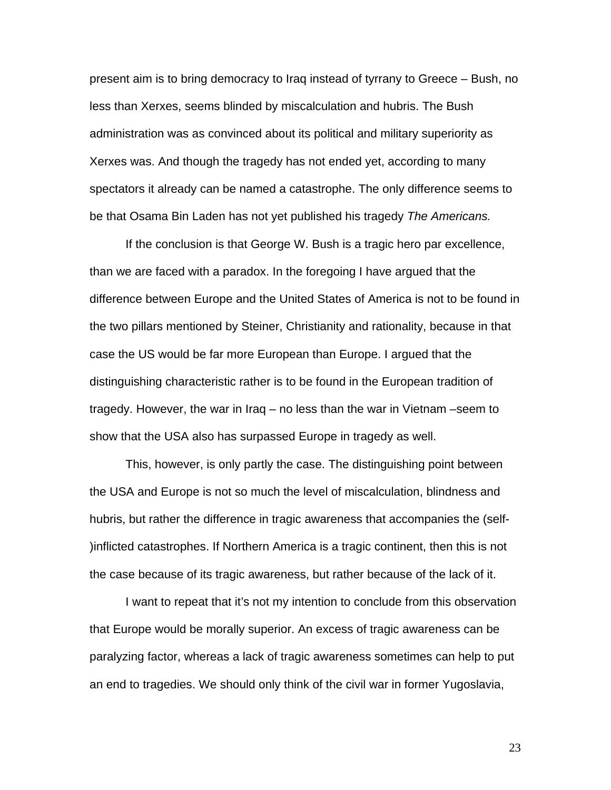present aim is to bring democracy to Iraq instead of tyrrany to Greece – Bush, no less than Xerxes, seems blinded by miscalculation and hubris. The Bush administration was as convinced about its political and military superiority as Xerxes was. And though the tragedy has not ended yet, according to many spectators it already can be named a catastrophe. The only difference seems to be that Osama Bin Laden has not yet published his tragedy *The Americans.* 

If the conclusion is that George W. Bush is a tragic hero par excellence, than we are faced with a paradox. In the foregoing I have argued that the difference between Europe and the United States of America is not to be found in the two pillars mentioned by Steiner, Christianity and rationality, because in that case the US would be far more European than Europe. I argued that the distinguishing characteristic rather is to be found in the European tradition of tragedy. However, the war in Iraq – no less than the war in Vietnam –seem to show that the USA also has surpassed Europe in tragedy as well.

 This, however, is only partly the case. The distinguishing point between the USA and Europe is not so much the level of miscalculation, blindness and hubris, but rather the difference in tragic awareness that accompanies the (self- )inflicted catastrophes. If Northern America is a tragic continent, then this is not the case because of its tragic awareness, but rather because of the lack of it.

 I want to repeat that it's not my intention to conclude from this observation that Europe would be morally superior. An excess of tragic awareness can be paralyzing factor, whereas a lack of tragic awareness sometimes can help to put an end to tragedies. We should only think of the civil war in former Yugoslavia,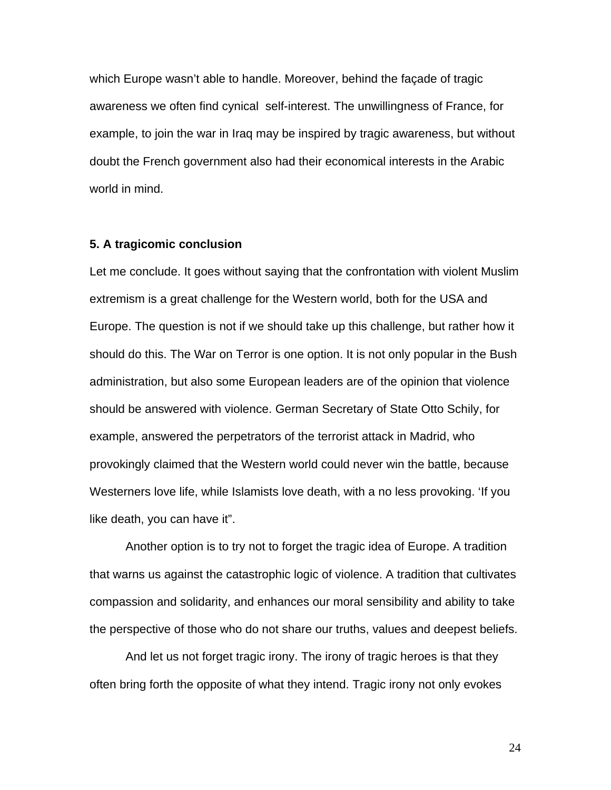which Europe wasn't able to handle. Moreover, behind the façade of tragic awareness we often find cynical self-interest. The unwillingness of France, for example, to join the war in Iraq may be inspired by tragic awareness, but without doubt the French government also had their economical interests in the Arabic world in mind.

# **5. A tragicomic conclusion**

Let me conclude. It goes without saying that the confrontation with violent Muslim extremism is a great challenge for the Western world, both for the USA and Europe. The question is not if we should take up this challenge, but rather how it should do this. The War on Terror is one option. It is not only popular in the Bush administration, but also some European leaders are of the opinion that violence should be answered with violence. German Secretary of State Otto Schily, for example, answered the perpetrators of the terrorist attack in Madrid, who provokingly claimed that the Western world could never win the battle, because Westerners love life, while Islamists love death, with a no less provoking. 'If you like death, you can have it".

Another option is to try not to forget the tragic idea of Europe. A tradition that warns us against the catastrophic logic of violence. A tradition that cultivates compassion and solidarity, and enhances our moral sensibility and ability to take the perspective of those who do not share our truths, values and deepest beliefs.

 And let us not forget tragic irony. The irony of tragic heroes is that they often bring forth the opposite of what they intend. Tragic irony not only evokes